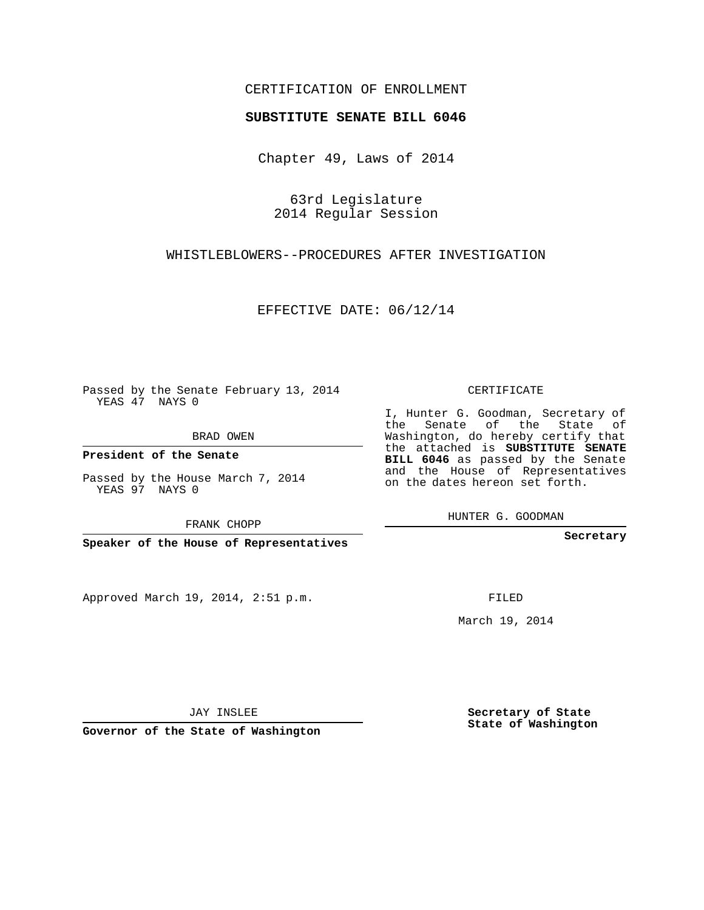## CERTIFICATION OF ENROLLMENT

## **SUBSTITUTE SENATE BILL 6046**

Chapter 49, Laws of 2014

63rd Legislature 2014 Regular Session

WHISTLEBLOWERS--PROCEDURES AFTER INVESTIGATION

EFFECTIVE DATE: 06/12/14

Passed by the Senate February 13, 2014 YEAS 47 NAYS 0

BRAD OWEN

**President of the Senate**

Passed by the House March 7, 2014 YEAS 97 NAYS 0

FRANK CHOPP

**Speaker of the House of Representatives**

Approved March 19, 2014, 2:51 p.m.

CERTIFICATE

I, Hunter G. Goodman, Secretary of the Senate of the State of Washington, do hereby certify that the attached is **SUBSTITUTE SENATE BILL 6046** as passed by the Senate and the House of Representatives on the dates hereon set forth.

HUNTER G. GOODMAN

**Secretary**

FILED

March 19, 2014

**Secretary of State State of Washington**

JAY INSLEE

**Governor of the State of Washington**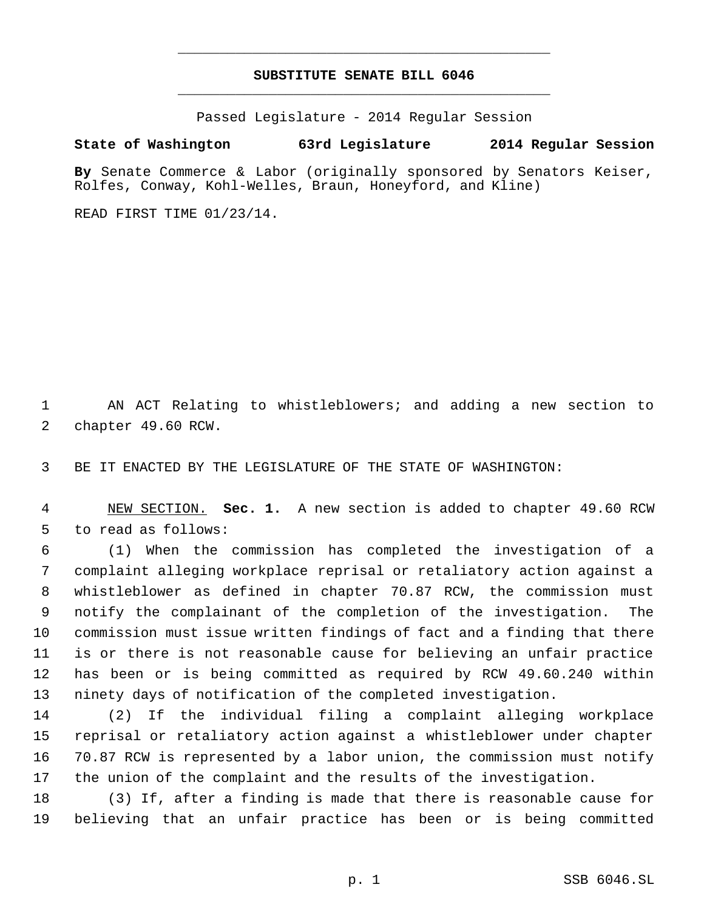## **SUBSTITUTE SENATE BILL 6046** \_\_\_\_\_\_\_\_\_\_\_\_\_\_\_\_\_\_\_\_\_\_\_\_\_\_\_\_\_\_\_\_\_\_\_\_\_\_\_\_\_\_\_\_\_

\_\_\_\_\_\_\_\_\_\_\_\_\_\_\_\_\_\_\_\_\_\_\_\_\_\_\_\_\_\_\_\_\_\_\_\_\_\_\_\_\_\_\_\_\_

Passed Legislature - 2014 Regular Session

## **State of Washington 63rd Legislature 2014 Regular Session**

**By** Senate Commerce & Labor (originally sponsored by Senators Keiser, Rolfes, Conway, Kohl-Welles, Braun, Honeyford, and Kline)

READ FIRST TIME 01/23/14.

 AN ACT Relating to whistleblowers; and adding a new section to chapter 49.60 RCW.

BE IT ENACTED BY THE LEGISLATURE OF THE STATE OF WASHINGTON:

 NEW SECTION. **Sec. 1.** A new section is added to chapter 49.60 RCW to read as follows:

 (1) When the commission has completed the investigation of a complaint alleging workplace reprisal or retaliatory action against a whistleblower as defined in chapter 70.87 RCW, the commission must notify the complainant of the completion of the investigation. The commission must issue written findings of fact and a finding that there is or there is not reasonable cause for believing an unfair practice has been or is being committed as required by RCW 49.60.240 within ninety days of notification of the completed investigation.

 (2) If the individual filing a complaint alleging workplace reprisal or retaliatory action against a whistleblower under chapter 70.87 RCW is represented by a labor union, the commission must notify the union of the complaint and the results of the investigation.

 (3) If, after a finding is made that there is reasonable cause for believing that an unfair practice has been or is being committed